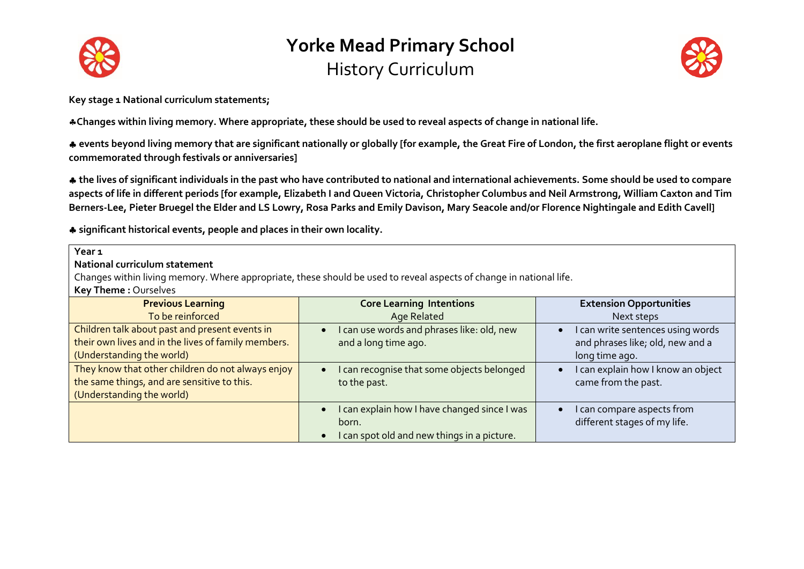



**Key stage 1 National curriculum statements;**

**Changes within living memory. Where appropriate, these should be used to reveal aspects of change in national life.** 

 **events beyond living memory that are significant nationally or globally [for example, the Great Fire of London, the first aeroplane flight or events commemorated through festivals or anniversaries]** 

 **the lives of significant individuals in the past who have contributed to national and international achievements. Some should be used to compare aspects of life in different periods [for example, Elizabeth I and Queen Victoria, Christopher Columbus and Neil Armstrong, William Caxton and Tim Berners-Lee, Pieter Bruegel the Elder and LS Lowry, Rosa Parks and Emily Davison, Mary Seacole and/or Florence Nightingale and Edith Cavell]** 

**significant historical events, people and places in their own locality.**

| Year <sub>1</sub><br>National curriculum statement<br>Changes within living memory. Where appropriate, these should be used to reveal aspects of change in national life.<br>Key Theme: Ourselves |                                                                                                                                |                                                                                         |
|---------------------------------------------------------------------------------------------------------------------------------------------------------------------------------------------------|--------------------------------------------------------------------------------------------------------------------------------|-----------------------------------------------------------------------------------------|
| <b>Previous Learning</b><br>To be reinforced                                                                                                                                                      | <b>Core Learning Intentions</b><br><b>Age Related</b>                                                                          | <b>Extension Opportunities</b><br>Next steps                                            |
| Children talk about past and present events in<br>their own lives and in the lives of family members.<br>(Understanding the world)                                                                | can use words and phrases like: old, new<br>$\bullet$<br>and a long time ago.                                                  | I can write sentences using words<br>and phrases like; old, new and a<br>long time ago. |
| They know that other children do not always enjoy<br>the same things, and are sensitive to this.<br>(Understanding the world)                                                                     | can recognise that some objects belonged<br>$\bullet$<br>to the past.                                                          | I can explain how I know an object<br>came from the past.                               |
|                                                                                                                                                                                                   | I can explain how I have changed since I was<br>$\bullet$<br>born.<br>I can spot old and new things in a picture.<br>$\bullet$ | I can compare aspects from<br>different stages of my life.                              |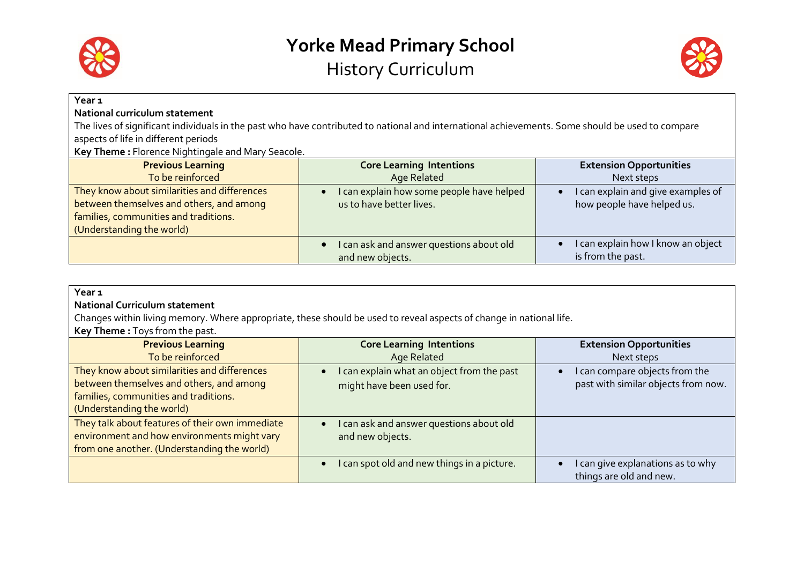



| Year <sub>1</sub><br>National curriculum statement<br>aspects of life in different periods                     | The lives of significant individuals in the past who have contributed to national and international achievements. Some should be used to compare |                                                                                    |
|----------------------------------------------------------------------------------------------------------------|--------------------------------------------------------------------------------------------------------------------------------------------------|------------------------------------------------------------------------------------|
| Key Theme: Florence Nightingale and Mary Seacole.                                                              |                                                                                                                                                  |                                                                                    |
| <b>Previous Learning</b><br>To be reinforced<br>They know about similarities and differences                   | <b>Core Learning Intentions</b><br>Age Related<br>I can explain how some people have helped<br>$\bullet$                                         | <b>Extension Opportunities</b><br>Next steps<br>I can explain and give examples of |
| between themselves and others, and among<br>families, communities and traditions.<br>(Understanding the world) | us to have better lives.                                                                                                                         | how people have helped us.                                                         |
|                                                                                                                | I can ask and answer questions about old<br>$\bullet$<br>and new objects.                                                                        | can explain how I know an object<br>is from the past.                              |

| Year <sub>1</sub>                                                                                                   |                                                          |                                     |
|---------------------------------------------------------------------------------------------------------------------|----------------------------------------------------------|-------------------------------------|
| <b>National Curriculum statement</b>                                                                                |                                                          |                                     |
| Changes within living memory. Where appropriate, these should be used to reveal aspects of change in national life. |                                                          |                                     |
| Key Theme: Toys from the past.                                                                                      |                                                          |                                     |
| <b>Previous Learning</b>                                                                                            | <b>Core Learning Intentions</b>                          | <b>Extension Opportunities</b>      |
| To be reinforced                                                                                                    | <b>Age Related</b>                                       | Next steps                          |
| They know about similarities and differences                                                                        | I can explain what an object from the past<br>$\bullet$  | I can compare objects from the      |
| between themselves and others, and among                                                                            | might have been used for.                                | past with similar objects from now. |
| families, communities and traditions.                                                                               |                                                          |                                     |
| (Understanding the world)                                                                                           |                                                          |                                     |
| They talk about features of their own immediate                                                                     | I can ask and answer questions about old<br>$\bullet$    |                                     |
| environment and how environments might vary                                                                         | and new objects.                                         |                                     |
| from one another. (Understanding the world)                                                                         |                                                          |                                     |
|                                                                                                                     | I can spot old and new things in a picture.<br>$\bullet$ | I can give explanations as to why   |
|                                                                                                                     |                                                          | things are old and new.             |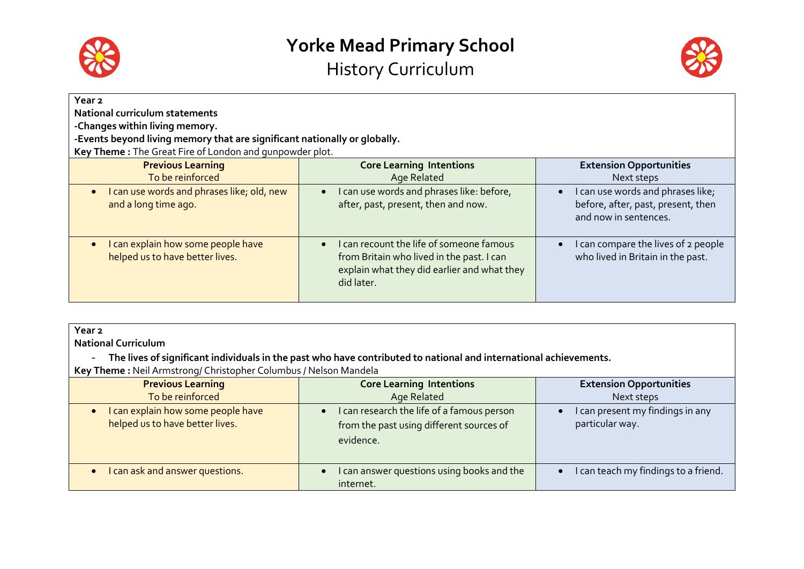



| Year 2                                                                          |                                                                                                                                                                 |                                                                                                               |
|---------------------------------------------------------------------------------|-----------------------------------------------------------------------------------------------------------------------------------------------------------------|---------------------------------------------------------------------------------------------------------------|
| <b>National curriculum statements</b>                                           |                                                                                                                                                                 |                                                                                                               |
| -Changes within living memory.                                                  |                                                                                                                                                                 |                                                                                                               |
| -Events beyond living memory that are significant nationally or globally.       |                                                                                                                                                                 |                                                                                                               |
| Key Theme: The Great Fire of London and qunpowder plot.                         |                                                                                                                                                                 |                                                                                                               |
| <b>Previous Learning</b>                                                        | <b>Core Learning Intentions</b>                                                                                                                                 | <b>Extension Opportunities</b>                                                                                |
| To be reinforced                                                                | Age Related                                                                                                                                                     | Next steps                                                                                                    |
| I can use words and phrases like; old, new<br>$\bullet$<br>and a long time ago. | I can use words and phrases like: before,<br>$\bullet$<br>after, past, present, then and now.                                                                   | I can use words and phrases like;<br>$\bullet$<br>before, after, past, present, then<br>and now in sentences. |
| I can explain how some people have<br>helped us to have better lives.           | I can recount the life of someone famous<br>$\bullet$<br>from Britain who lived in the past. I can<br>explain what they did earlier and what they<br>did later. | I can compare the lives of 2 people<br>$\bullet$<br>who lived in Britain in the past.                         |

| Year <sub>2</sub><br><b>National Curriculum</b><br>The lives of significant individuals in the past who have contributed to national and international achievements.<br>$\overline{\phantom{a}}$<br>Key Theme: Neil Armstrong/ Christopher Columbus / Nelson Mandela |                                                                                                                |                                                     |
|----------------------------------------------------------------------------------------------------------------------------------------------------------------------------------------------------------------------------------------------------------------------|----------------------------------------------------------------------------------------------------------------|-----------------------------------------------------|
| <b>Previous Learning</b><br>To be reinforced                                                                                                                                                                                                                         | <b>Core Learning Intentions</b><br>Age Related                                                                 | <b>Extension Opportunities</b><br>Next steps        |
| I can explain how some people have<br>helped us to have better lives.                                                                                                                                                                                                | can research the life of a famous person<br>$\bullet$<br>from the past using different sources of<br>evidence. | I can present my findings in any<br>particular way. |
| can ask and answer questions.                                                                                                                                                                                                                                        | can answer questions using books and the<br>$\bullet$<br>internet.                                             | I can teach my findings to a friend.                |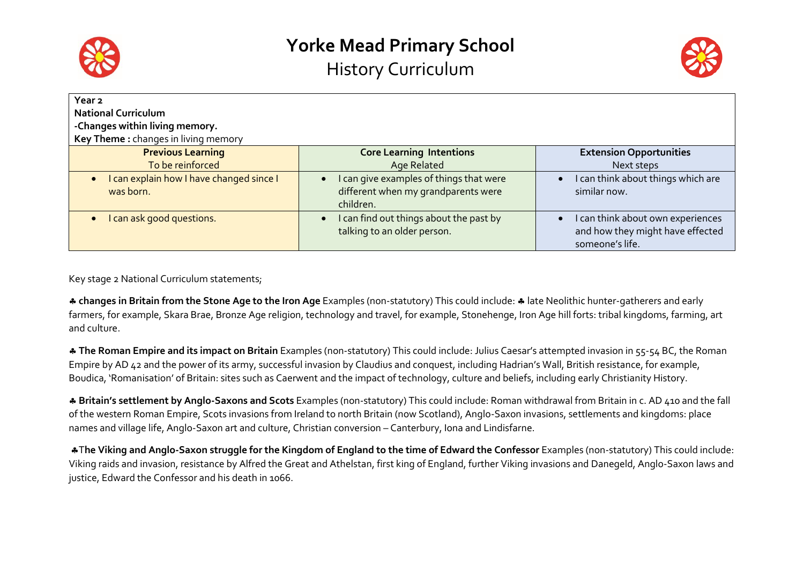



| Year <sub>2</sub><br><b>National Curriculum</b><br>-Changes within living memory.<br>Key Theme: changes in living memory |                                                                                     |                                                                                          |
|--------------------------------------------------------------------------------------------------------------------------|-------------------------------------------------------------------------------------|------------------------------------------------------------------------------------------|
| <b>Previous Learning</b><br>To be reinforced                                                                             | <b>Core Learning Intentions</b><br>Age Related                                      | <b>Extension Opportunities</b><br>Next steps                                             |
| I can explain how I have changed since I                                                                                 | I can give examples of things that were<br>$\bullet$                                | I can think about things which are                                                       |
| was born.                                                                                                                | different when my grandparents were<br>children.                                    | similar now.                                                                             |
| I can ask good questions.                                                                                                | I can find out things about the past by<br>$\bullet$<br>talking to an older person. | I can think about own experiences<br>and how they might have effected<br>someone's life. |

Key stage 2 National Curriculum statements;

\* changes in Britain from the Stone Age to the Iron Age Examples (non-statutory) This could include: \* late Neolithic hunter-gatherers and early farmers, for example, Skara Brae, Bronze Age religion, technology and travel, for example, Stonehenge, Iron Age hill forts: tribal kingdoms, farming, art and culture.

 **The Roman Empire and its impact on Britain** Examples (non-statutory) This could include: Julius Caesar's attempted invasion in 55-54 BC, the Roman Empire by AD 42 and the power of its army, successful invasion by Claudius and conquest, including Hadrian's Wall, British resistance, for example, Boudica, 'Romanisation' of Britain: sites such as Caerwent and the impact of technology, culture and beliefs, including early Christianity History.

 **Britain's settlement by Anglo-Saxons and Scots** Examples (non-statutory) This could include: Roman withdrawal from Britain in c. AD 410 and the fall of the western Roman Empire, Scots invasions from Ireland to north Britain (now Scotland), Anglo-Saxon invasions, settlements and kingdoms: place names and village life, Anglo-Saxon art and culture, Christian conversion – Canterbury, Iona and Lindisfarne.

T**he Viking and Anglo-Saxon struggle for the Kingdom of England to the time of Edward the Confessor** Examples (non-statutory) This could include: Viking raids and invasion, resistance by Alfred the Great and Athelstan, first king of England, further Viking invasions and Danegeld, Anglo-Saxon laws and justice, Edward the Confessor and his death in 1066.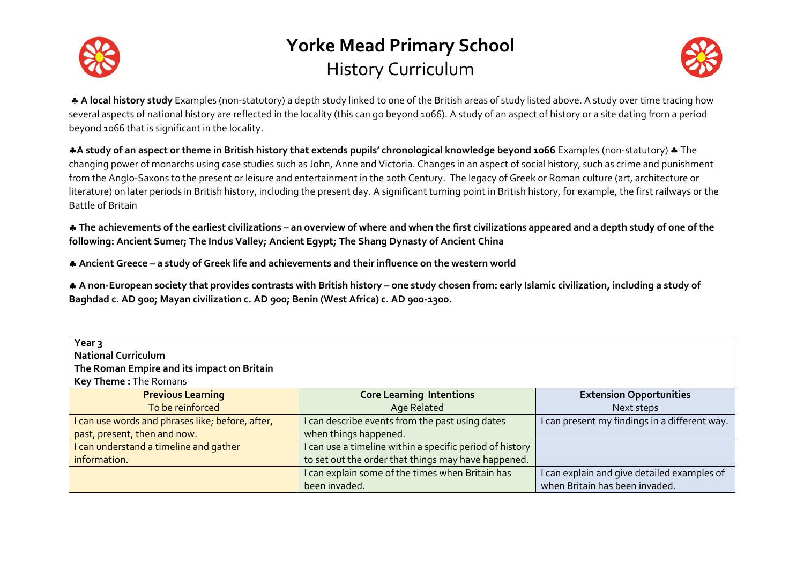



 **A local history study** Examples (non-statutory) a depth study linked to one of the British areas of study listed above. A study over time tracing how several aspects of national history are reflected in the locality (this can go beyond 1066). A study of an aspect of history or a site dating from a period beyond 1066 that is significant in the locality.

**A study of an aspect or theme in British history that extends pupils' chronological knowledge beyond 1066** Examples (non-statutory)  $\triangle$  The changing power of monarchs using case studies such as John, Anne and Victoria. Changes in an aspect of social history, such as crime and punishment from the Anglo-Saxons to the present or leisure and entertainment in the 20th Century. The legacy of Greek or Roman culture (art, architecture or literature) on later periods in British history, including the present day. A significant turning point in British history, for example, the first railways or the Battle of Britain

 **The achievements of the earliest civilizations – an overview of where and when the first civilizations appeared and a depth study of one of the following: Ancient Sumer; The Indus Valley; Ancient Egypt; The Shang Dynasty of Ancient China** 

**Ancient Greece – a study of Greek life and achievements and their influence on the western world** 

 **A non-European society that provides contrasts with British history – one study chosen from: early Islamic civilization, including a study of Baghdad c. AD 900; Mayan civilization c. AD 900; Benin (West Africa) c. AD 900-1300.**

| Year 3<br><b>National Curriculum</b><br>The Roman Empire and its impact on Britain<br>Key Theme: The Romans |                                                                   |                                                                               |
|-------------------------------------------------------------------------------------------------------------|-------------------------------------------------------------------|-------------------------------------------------------------------------------|
| <b>Previous Learning</b>                                                                                    | <b>Core Learning Intentions</b>                                   | <b>Extension Opportunities</b>                                                |
| To be reinforced                                                                                            | Age Related                                                       | Next steps                                                                    |
| I can use words and phrases like; before, after,                                                            | I can describe events from the past using dates                   | I can present my findings in a different way.                                 |
| past, present, then and now.                                                                                | when things happened.                                             |                                                                               |
| I can understand a timeline and gather                                                                      | I can use a timeline within a specific period of history          |                                                                               |
| information.                                                                                                | to set out the order that things may have happened.               |                                                                               |
|                                                                                                             | I can explain some of the times when Britain has<br>been invaded. | I can explain and give detailed examples of<br>when Britain has been invaded. |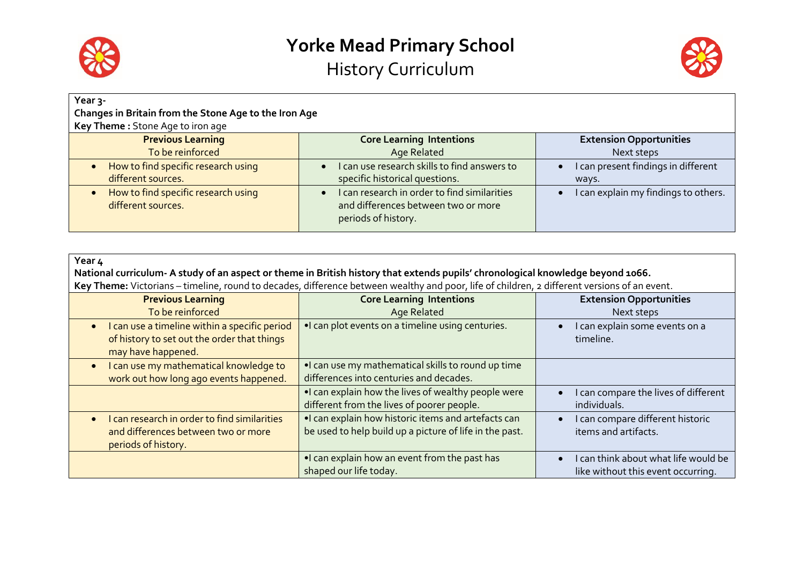



| Year 3-<br>Changes in Britain from the Stone Age to the Iron Age |                                                                                                                         |                                              |
|------------------------------------------------------------------|-------------------------------------------------------------------------------------------------------------------------|----------------------------------------------|
| Key Theme: Stone Age to iron age                                 |                                                                                                                         |                                              |
| <b>Previous Learning</b><br>To be reinforced                     | <b>Core Learning Intentions</b><br>Age Related                                                                          | <b>Extension Opportunities</b><br>Next steps |
| How to find specific research using<br>different sources.        | I can use research skills to find answers to<br>$\bullet$<br>specific historical questions.                             | I can present findings in different<br>ways. |
| How to find specific research using<br>different sources.        | I can research in order to find similarities<br>$\bullet$<br>and differences between two or more<br>periods of history. | I can explain my findings to others.         |

| Year 4<br>National curriculum- A study of an aspect or theme in British history that extends pupils' chronological knowledge beyond 1066.<br>Key Theme: Victorians - timeline, round to decades, difference between wealthy and poor, life of children, 2 different versions of an event. |                                                                                                                 |                                                                            |
|-------------------------------------------------------------------------------------------------------------------------------------------------------------------------------------------------------------------------------------------------------------------------------------------|-----------------------------------------------------------------------------------------------------------------|----------------------------------------------------------------------------|
| <b>Previous Learning</b><br>To be reinforced                                                                                                                                                                                                                                              | <b>Core Learning Intentions</b><br>Age Related                                                                  | <b>Extension Opportunities</b><br>Next steps                               |
| • I can use a timeline within a specific period<br>of history to set out the order that things<br>may have happened.                                                                                                                                                                      | . I can plot events on a timeline using centuries.                                                              | I can explain some events on a<br>timeline.                                |
| I can use my mathematical knowledge to<br>$\bullet$<br>work out how long ago events happened.                                                                                                                                                                                             | . I can use my mathematical skills to round up time<br>differences into centuries and decades.                  |                                                                            |
|                                                                                                                                                                                                                                                                                           | . I can explain how the lives of wealthy people were<br>different from the lives of poorer people.              | I can compare the lives of different<br>individuals.                       |
| I can research in order to find similarities<br>$\bullet$<br>and differences between two or more<br>periods of history.                                                                                                                                                                   | . I can explain how historic items and artefacts can<br>be used to help build up a picture of life in the past. | I can compare different historic<br>items and artifacts.                   |
|                                                                                                                                                                                                                                                                                           | . I can explain how an event from the past has<br>shaped our life today.                                        | I can think about what life would be<br>like without this event occurring. |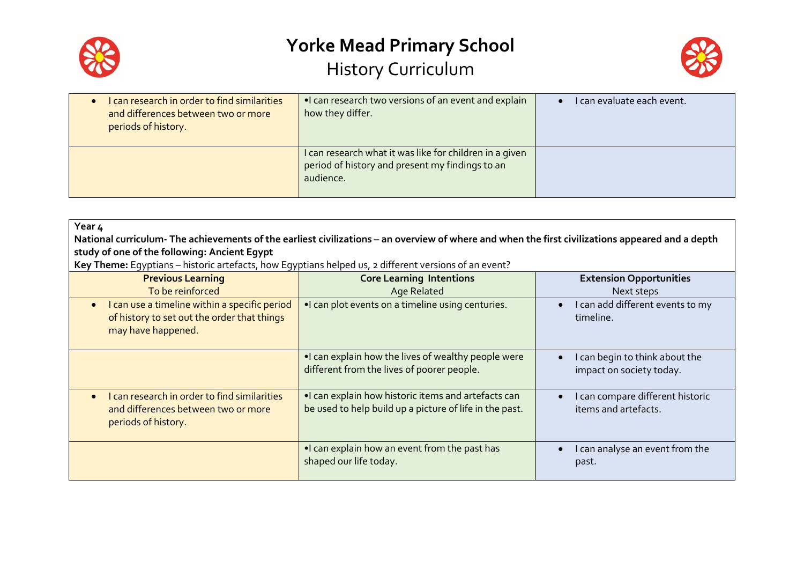



| I can research in order to find similarities<br>and differences between two or more<br>periods of history. | •I can research two versions of an event and explain<br>how they differ.                                                | I can evaluate each event. |
|------------------------------------------------------------------------------------------------------------|-------------------------------------------------------------------------------------------------------------------------|----------------------------|
|                                                                                                            | I can research what it was like for children in a given<br>period of history and present my findings to an<br>audience. |                            |

| Year 4                                                                                                                                           |                                                                                                                |                                                            |
|--------------------------------------------------------------------------------------------------------------------------------------------------|----------------------------------------------------------------------------------------------------------------|------------------------------------------------------------|
| National curriculum- The achievements of the earliest civilizations – an overview of where and when the first civilizations appeared and a depth |                                                                                                                |                                                            |
| study of one of the following: Ancient Egypt                                                                                                     |                                                                                                                |                                                            |
| Key Theme: Egyptians – historic artefacts, how Egyptians helped us, 2 different versions of an event?                                            |                                                                                                                |                                                            |
| <b>Previous Learning</b>                                                                                                                         | <b>Core Learning Intentions</b>                                                                                | <b>Extension Opportunities</b>                             |
| To be reinforced                                                                                                                                 | <b>Age Related</b>                                                                                             | Next steps                                                 |
| I can use a timeline within a specific period<br>$\bullet$<br>of history to set out the order that things<br>may have happened.                  | . I can plot events on a timeline using centuries.                                                             | I can add different events to my<br>timeline.              |
|                                                                                                                                                  | •I can explain how the lives of wealthy people were<br>different from the lives of poorer people.              | I can begin to think about the<br>impact on society today. |
| I can research in order to find similarities<br>$\bullet$<br>and differences between two or more<br>periods of history.                          | •I can explain how historic items and artefacts can<br>be used to help build up a picture of life in the past. | I can compare different historic<br>items and artefacts.   |
|                                                                                                                                                  | . I can explain how an event from the past has<br>shaped our life today.                                       | I can analyse an event from the<br>past.                   |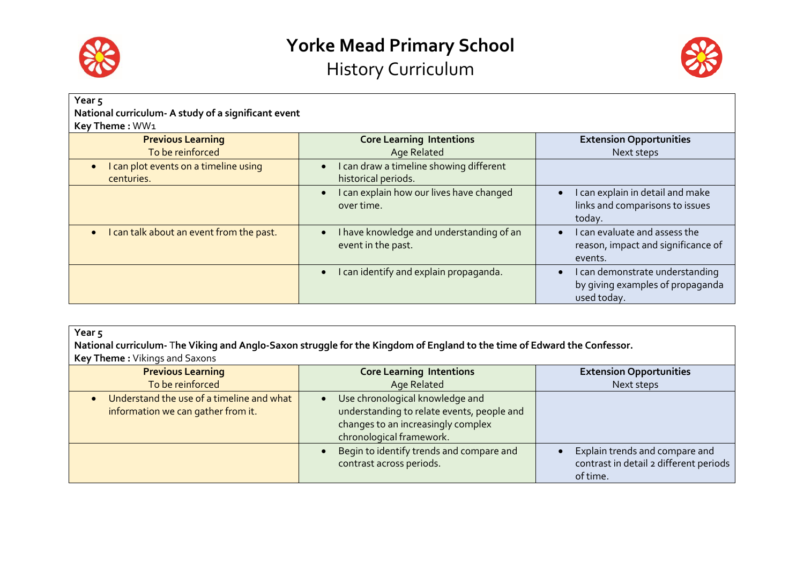



| Year <sub>5</sub><br>National curriculum- A study of a significant event<br>Key Theme: WW1 |                                                                     |                                                                                    |
|--------------------------------------------------------------------------------------------|---------------------------------------------------------------------|------------------------------------------------------------------------------------|
| <b>Previous Learning</b>                                                                   | <b>Core Learning Intentions</b>                                     | <b>Extension Opportunities</b>                                                     |
| To be reinforced                                                                           | <b>Age Related</b>                                                  | Next steps                                                                         |
| I can plot events on a timeline using<br>centuries.                                        | I can draw a timeline showing different<br>historical periods.      |                                                                                    |
|                                                                                            | I can explain how our lives have changed<br>$\bullet$<br>over time. | can explain in detail and make<br>links and comparisons to issues<br>today.        |
| I can talk about an event from the past.                                                   | I have knowledge and understanding of an<br>event in the past.      | can evaluate and assess the<br>reason, impact and significance of<br>events.       |
|                                                                                            | I can identify and explain propaganda.                              | I can demonstrate understanding<br>by giving examples of propaganda<br>used today. |

| Year 5                                                  |                                                                                                                          |                                |
|---------------------------------------------------------|--------------------------------------------------------------------------------------------------------------------------|--------------------------------|
|                                                         | National curriculum- The Viking and Anglo-Saxon struggle for the Kingdom of England to the time of Edward the Confessor. |                                |
| <b>Key Theme:</b> Vikings and Saxons                    |                                                                                                                          |                                |
| <b>Previous Learning</b>                                | <b>Core Learning Intentions</b>                                                                                          | <b>Extension Opportunities</b> |
| To be reinforced                                        | Age Related                                                                                                              | Next steps                     |
| Understand the use of a timeline and what               | Use chronological knowledge and                                                                                          |                                |
| i ta Canana a stight anns an ann an aith an Chanana. Is | والمستورث والمتمام وتستنقص والمتعارف والمستمر والمستقطع والمستنبذ المستنب                                                |                                |

| information we can gather from it. | understanding to relate events, people and<br>changes to an increasingly complex<br>chronological framework. |                                                                                      |
|------------------------------------|--------------------------------------------------------------------------------------------------------------|--------------------------------------------------------------------------------------|
|                                    | Begin to identify trends and compare and<br>contrast across periods.                                         | Explain trends and compare and<br>contrast in detail 2 different periods<br>of time. |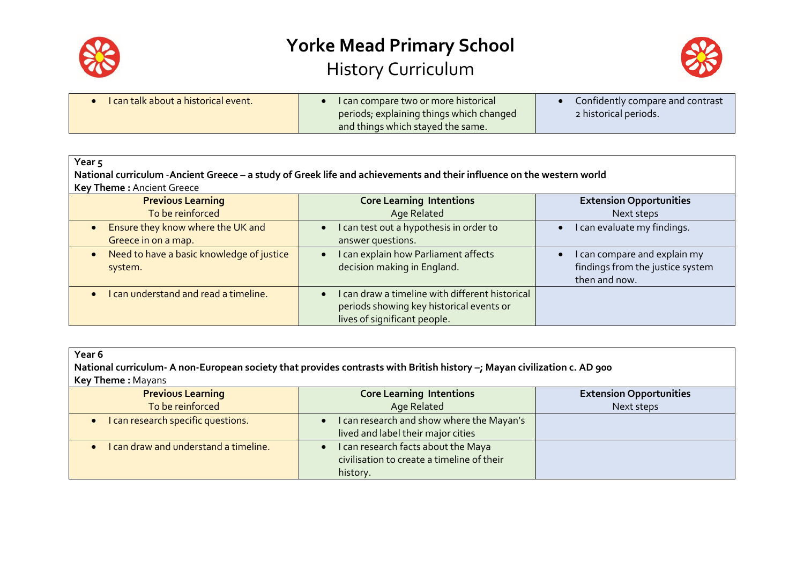



| I can talk about a historical event. | I can compare two or more historical     | Confidently compare and contrast |
|--------------------------------------|------------------------------------------|----------------------------------|
|                                      | periods, explaining things which changed | 2 historical periods.            |
|                                      | and things which stayed the same.        |                                  |

| Year <sub>5</sub>                                                     |                                                                                                                                        |                                                                                   |
|-----------------------------------------------------------------------|----------------------------------------------------------------------------------------------------------------------------------------|-----------------------------------------------------------------------------------|
| Key Theme: Ancient Greece                                             | National curriculum - Ancient Greece - a study of Greek life and achievements and their influence on the western world                 |                                                                                   |
| <b>Previous Learning</b><br>To be reinforced                          | <b>Core Learning Intentions</b><br>Age Related                                                                                         | <b>Extension Opportunities</b><br>Next steps                                      |
| Ensure they know where the UK and<br>$\bullet$<br>Greece in on a map. | can test out a hypothesis in order to<br>$\bullet$<br>answer questions.                                                                | I can evaluate my findings.                                                       |
| Need to have a basic knowledge of justice<br>system.                  | can explain how Parliament affects<br>$\bullet$<br>decision making in England.                                                         | I can compare and explain my<br>findings from the justice system<br>then and now. |
| I can understand and read a timeline.                                 | can draw a timeline with different historical<br>$\bullet$<br>periods showing key historical events or<br>lives of significant people. |                                                                                   |

| Year 6<br>National curriculum- A non-European society that provides contrasts with British history -; Mayan civilization c. AD 900<br><b>Key Theme: Mayans</b> |                                                                                                            |                                |
|----------------------------------------------------------------------------------------------------------------------------------------------------------------|------------------------------------------------------------------------------------------------------------|--------------------------------|
| <b>Previous Learning</b>                                                                                                                                       | <b>Core Learning Intentions</b>                                                                            | <b>Extension Opportunities</b> |
| To be reinforced                                                                                                                                               | Age Related                                                                                                | Next steps                     |
| I can research specific questions.                                                                                                                             | I can research and show where the Mayan's<br>$\bullet$<br>lived and label their major cities               |                                |
| I can draw and understand a timeline.                                                                                                                          | I can research facts about the Maya<br>$\bullet$<br>civilisation to create a timeline of their<br>history. |                                |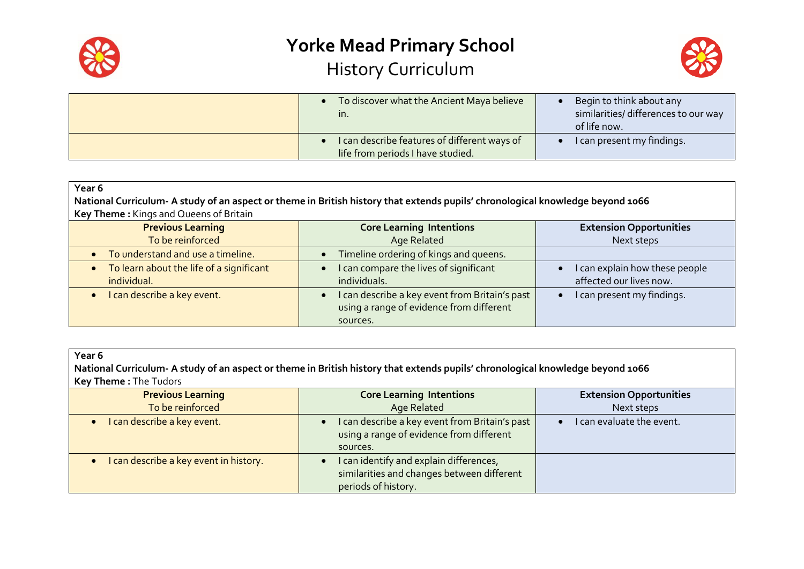



| To discover what the Ancient Maya believe<br>In.                                  | Begin to think about any<br>similarities/ differences to our way<br>of life now. |
|-----------------------------------------------------------------------------------|----------------------------------------------------------------------------------|
| I can describe features of different ways of<br>life from periods I have studied. | I can present my findings.                                                       |

| Year <sub>6</sub>                        |                                                                                                                                |                                |
|------------------------------------------|--------------------------------------------------------------------------------------------------------------------------------|--------------------------------|
|                                          | National Curriculum- A study of an aspect or theme in British history that extends pupils' chronological knowledge beyond 1066 |                                |
| Key Theme: Kings and Queens of Britain   |                                                                                                                                |                                |
| <b>Previous Learning</b>                 | <b>Core Learning Intentions</b>                                                                                                | <b>Extension Opportunities</b> |
| To be reinforced                         | Age Related                                                                                                                    | Next steps                     |
| To understand and use a timeline.        | Timeline ordering of kings and queens.                                                                                         |                                |
| To learn about the life of a significant | I can compare the lives of significant                                                                                         | I can explain how these people |
| individual.                              | individuals.                                                                                                                   | affected our lives now.        |
| I can describe a key event.              | I can describe a key event from Britain's past                                                                                 | I can present my findings.     |
|                                          | using a range of evidence from different                                                                                       |                                |
|                                          | sources.                                                                                                                       |                                |

| Year 6                                                                                                                         |  |
|--------------------------------------------------------------------------------------------------------------------------------|--|
| National Curriculum- A study of an aspect or theme in British history that extends pupils' chronological knowledge beyond 1066 |  |
| <b>Key Theme: The Tudors</b>                                                                                                   |  |
|                                                                                                                                |  |

| <b>Previous Learning</b><br>To be reinforced | <b>Core Learning Intentions</b><br>Age Related                                                             | <b>Extension Opportunities</b><br>Next steps |
|----------------------------------------------|------------------------------------------------------------------------------------------------------------|----------------------------------------------|
| • I can describe a key event.                | I can describe a key event from Britain's past<br>using a range of evidence from different<br>sources.     | I can evaluate the event.                    |
| I can describe a key event in history.       | can identify and explain differences,<br>similarities and changes between different<br>periods of history. |                                              |